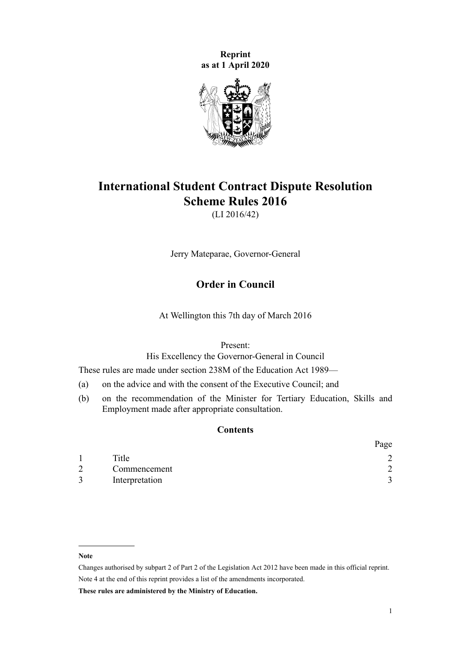**Reprint as at 1 April 2020**



# **International Student Contract Dispute Resolution Scheme Rules 2016**

(LI 2016/42)

Jerry Mateparae, Governor-General

# **Order in Council**

At Wellington this 7th day of March 2016

Present:

His Excellency the Governor-General in Council

These rules are made under [section 238M](http://legislation.govt.nz/pdflink.aspx?id=DLM6890472) of the [Education Act 1989—](http://legislation.govt.nz/pdflink.aspx?id=DLM175958)

- (a) on the advice and with the consent of the Executive Council; and
- (b) on the recommendation of the Minister for Tertiary Education, Skills and Employment made after appropriate consultation.

## **Contents**

|   |                | Page |
|---|----------------|------|
|   | Title          |      |
| 2 | Commencement   |      |
|   | Interpretation |      |

#### **Note**

**These rules are administered by the Ministry of Education.**

Changes authorised by [subpart 2](http://legislation.govt.nz/pdflink.aspx?id=DLM2998524) of Part 2 of the Legislation Act 2012 have been made in this official reprint. Note 4 at the end of this reprint provides a list of the amendments incorporated.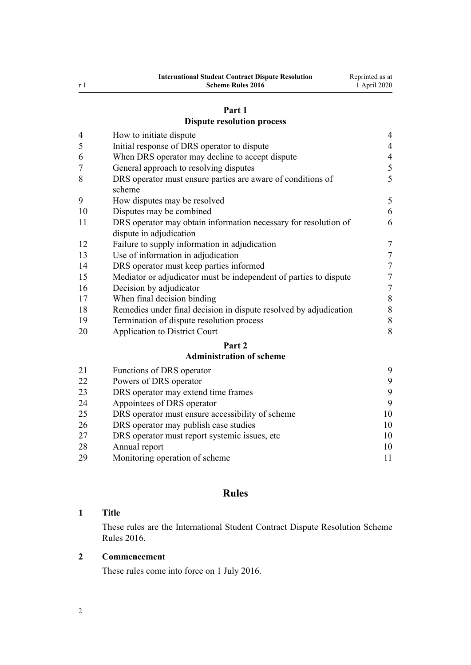#### **[Part 1](#page-3-0)**

# **[Dispute resolution process](#page-3-0)**

<span id="page-1-0"></span>

| $\overline{4}$ | How to initiate dispute                                                                    | $\overline{4}$   |
|----------------|--------------------------------------------------------------------------------------------|------------------|
| 5              | Initial response of DRS operator to dispute                                                | $\overline{4}$   |
| 6              | When DRS operator may decline to accept dispute                                            | $\overline{4}$   |
| 7              | General approach to resolving disputes                                                     | 5                |
| 8              | DRS operator must ensure parties are aware of conditions of<br>scheme                      | 5                |
| 9              | How disputes may be resolved                                                               | 5                |
| 10             | Disputes may be combined                                                                   | 6                |
| 11             | DRS operator may obtain information necessary for resolution of<br>dispute in adjudication | 6                |
| 12             | Failure to supply information in adjudication                                              | $\boldsymbol{7}$ |
| 13             | Use of information in adjudication                                                         | $\boldsymbol{7}$ |
| 14             | DRS operator must keep parties informed                                                    | $\overline{7}$   |
| 15             | Mediator or adjudicator must be independent of parties to dispute                          | $\boldsymbol{7}$ |
| 16             | Decision by adjudicator                                                                    | $\overline{7}$   |
| 17             | When final decision binding                                                                | $\,$ $\,$        |
| 18             | Remedies under final decision in dispute resolved by adjudication                          | $\,$ $\,$        |
| 19             | Termination of dispute resolution process                                                  | $\,$ $\,$        |
| 20             | <b>Application to District Court</b>                                                       | 8                |
|                | Part 2                                                                                     |                  |
|                | <b>Administration of scheme</b>                                                            |                  |
| 21             | Functions of DRS operator                                                                  | 9                |
| 22             | Powers of DRS operator                                                                     | 9                |
| 23             | DRS operator may extend time frames                                                        | 9                |

| 24 | Appointees of DRS operator                       |    |
|----|--------------------------------------------------|----|
| 25 | DRS operator must ensure accessibility of scheme | 10 |
| 26 | DRS operator may publish case studies            | 10 |
| 27 | DRS operator must report systemic issues, etc.   | 10 |
| 28 | Annual report                                    |    |

| $\sim$ $\circ$ | Allique TUDUL                  |  |
|----------------|--------------------------------|--|
| 29             | Monitoring operation of scheme |  |

# **Rules**

## **Title**

These rules are the International Student Contract Dispute Resolution Scheme Rules 2016.

## **Commencement**

These rules come into force on 1 July 2016.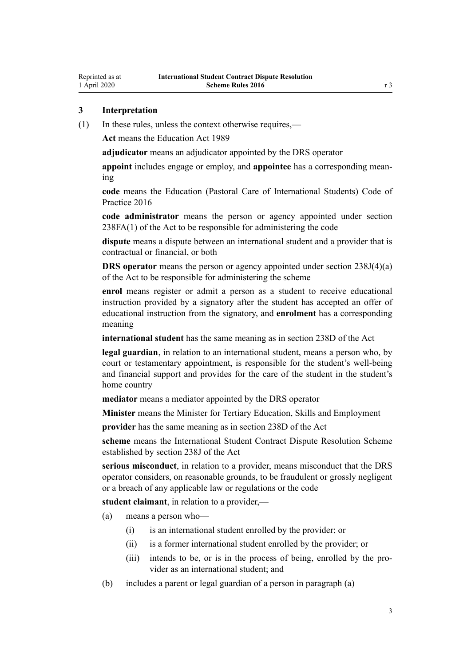## <span id="page-2-0"></span>**3 Interpretation**

(1) In these rules, unless the context otherwise requires,—

**Act** means the [Education Act 1989](http://legislation.govt.nz/pdflink.aspx?id=DLM175958)

**adjudicator** means an adjudicator appointed by the DRS operator

**appoint** includes engage or employ, and **appointee** has a corresponding meaning

**code** means the [Education \(Pastoral Care of International Students\) Code of](http://legislation.govt.nz/pdflink.aspx?id=DLM6748146) [Practice 2016](http://legislation.govt.nz/pdflink.aspx?id=DLM6748146)

**code administrator** means the person or agency appointed under [section](http://legislation.govt.nz/pdflink.aspx?id=DLM6890479) [238FA\(1\)](http://legislation.govt.nz/pdflink.aspx?id=DLM6890479) of the Act to be responsible for administering the code

**dispute** means a dispute between an international student and a provider that is contractual or financial, or both

**DRS operator** means the person or agency appointed under [section 238J\(4\)\(a\)](http://legislation.govt.nz/pdflink.aspx?id=DLM6890475) of the Act to be responsible for administering the scheme

**enrol** means register or admit a person as a student to receive educational instruction provided by a signatory after the student has accepted an offer of educational instruction from the signatory, and **enrolment** has a corresponding meaning

**international student** has the same meaning as in [section 238D](http://legislation.govt.nz/pdflink.aspx?id=DLM185907) of the Act

**legal guardian**, in relation to an international student, means a person who, by court or testamentary appointment, is responsible for the student's well-being and financial support and provides for the care of the student in the student's home country

**mediator** means a mediator appointed by the DRS operator

**Minister** means the Minister for Tertiary Education, Skills and Employment

**provider** has the same meaning as in [section 238D](http://legislation.govt.nz/pdflink.aspx?id=DLM185907) of the Act

**scheme** means the International Student Contract Dispute Resolution Scheme established by [section 238J](http://legislation.govt.nz/pdflink.aspx?id=DLM6890475) of the Act

**serious misconduct**, in relation to a provider, means misconduct that the DRS operator considers, on reasonable grounds, to be fraudulent or grossly negligent or a breach of any applicable law or regulations or the code

**student claimant**, in relation to a provider,—

(a) means a person who—

- (i) is an international student enrolled by the provider; or
- (ii) is a former international student enrolled by the provider; or
- (iii) intends to be, or is in the process of being, enrolled by the provider as an international student; and
- (b) includes a parent or legal guardian of a person in paragraph (a)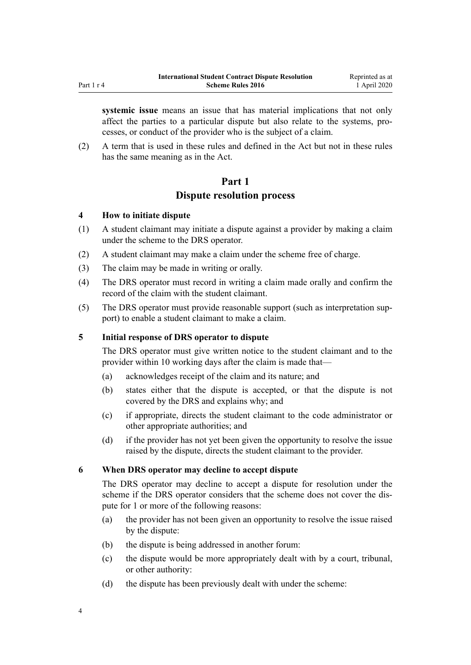<span id="page-3-0"></span>**systemic issue** means an issue that has material implications that not only affect the parties to a particular dispute but also relate to the systems, processes, or conduct of the provider who is the subject of a claim.

(2) A term that is used in these rules and defined in the Act but not in these rules has the same meaning as in the Act.

## **Part 1**

## **Dispute resolution process**

## **4 How to initiate dispute**

- (1) A student claimant may initiate a dispute against a provider by making a claim under the scheme to the DRS operator.
- (2) A student claimant may make a claim under the scheme free of charge.
- (3) The claim may be made in writing or orally.
- (4) The DRS operator must record in writing a claim made orally and confirm the record of the claim with the student claimant.
- (5) The DRS operator must provide reasonable support (such as interpretation support) to enable a student claimant to make a claim.

## **5 Initial response of DRS operator to dispute**

The DRS operator must give written notice to the student claimant and to the provider within 10 working days after the claim is made that—

- (a) acknowledges receipt of the claim and its nature; and
- (b) states either that the dispute is accepted, or that the dispute is not covered by the DRS and explains why; and
- (c) if appropriate, directs the student claimant to the code administrator or other appropriate authorities; and
- (d) if the provider has not yet been given the opportunity to resolve the issue raised by the dispute, directs the student claimant to the provider.

## **6 When DRS operator may decline to accept dispute**

The DRS operator may decline to accept a dispute for resolution under the scheme if the DRS operator considers that the scheme does not cover the dispute for 1 or more of the following reasons:

- (a) the provider has not been given an opportunity to resolve the issue raised by the dispute:
- (b) the dispute is being addressed in another forum:
- (c) the dispute would be more appropriately dealt with by a court, tribunal, or other authority:
- (d) the dispute has been previously dealt with under the scheme: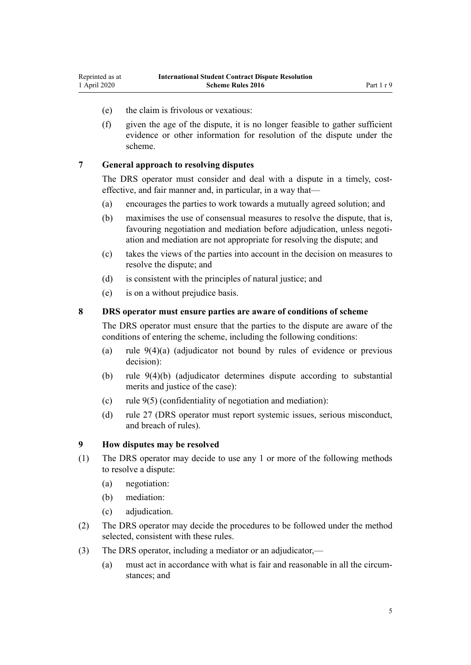- <span id="page-4-0"></span>(e) the claim is frivolous or vexatious:
- (f) given the age of the dispute, it is no longer feasible to gather sufficient evidence or other information for resolution of the dispute under the scheme.

## **7 General approach to resolving disputes**

The DRS operator must consider and deal with a dispute in a timely, costeffective, and fair manner and, in particular, in a way that—

- (a) encourages the parties to work towards a mutually agreed solution; and
- (b) maximises the use of consensual measures to resolve the dispute, that is, favouring negotiation and mediation before adjudication, unless negotiation and mediation are not appropriate for resolving the dispute; and
- (c) takes the views of the parties into account in the decision on measures to resolve the dispute; and
- (d) is consistent with the principles of natural justice; and
- (e) is on a without prejudice basis.

#### **8 DRS operator must ensure parties are aware of conditions of scheme**

The DRS operator must ensure that the parties to the dispute are aware of the conditions of entering the scheme, including the following conditions:

- (a) rule 9(4)(a) (adjudicator not bound by rules of evidence or previous decision):
- (b) rule 9(4)(b) (adjudicator determines dispute according to substantial merits and justice of the case):
- (c) rule 9(5) (confidentiality of negotiation and mediation):
- (d) [rule 27](#page-9-0) (DRS operator must report systemic issues, serious misconduct, and breach of rules).

#### **9 How disputes may be resolved**

- (1) The DRS operator may decide to use any 1 or more of the following methods to resolve a dispute:
	- (a) negotiation:
	- (b) mediation:
	- (c) adjudication.
- (2) The DRS operator may decide the procedures to be followed under the method selected, consistent with these rules.
- (3) The DRS operator, including a mediator or an adjudicator,—
	- (a) must act in accordance with what is fair and reasonable in all the circumstances; and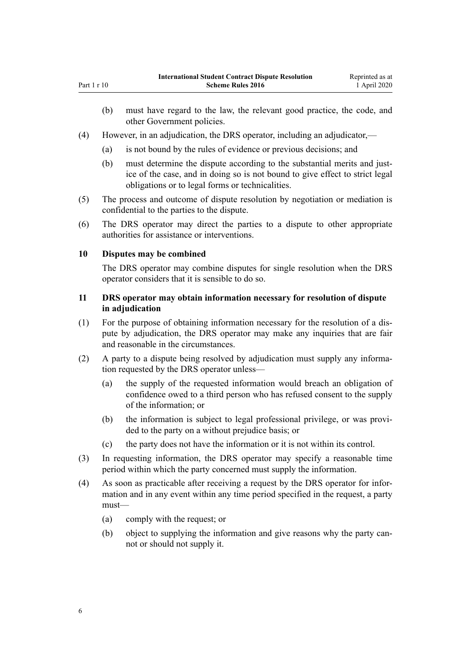- (b) must have regard to the law, the relevant good practice, the code, and other Government policies.
- (4) However, in an adjudication, the DRS operator, including an adjudicator,—
	- (a) is not bound by the rules of evidence or previous decisions; and
	- (b) must determine the dispute according to the substantial merits and justice of the case, and in doing so is not bound to give effect to strict legal obligations or to legal forms or technicalities.
- (5) The process and outcome of dispute resolution by negotiation or mediation is confidential to the parties to the dispute.
- (6) The DRS operator may direct the parties to a dispute to other appropriate authorities for assistance or interventions.

## **10 Disputes may be combined**

<span id="page-5-0"></span>Part 1 r 10

The DRS operator may combine disputes for single resolution when the DRS operator considers that it is sensible to do so.

## **11 DRS operator may obtain information necessary for resolution of dispute in adjudication**

- (1) For the purpose of obtaining information necessary for the resolution of a dispute by adjudication, the DRS operator may make any inquiries that are fair and reasonable in the circumstances.
- (2) A party to a dispute being resolved by adjudication must supply any information requested by the DRS operator unless—
	- (a) the supply of the requested information would breach an obligation of confidence owed to a third person who has refused consent to the supply of the information; or
	- (b) the information is subject to legal professional privilege, or was provided to the party on a without prejudice basis; or
	- (c) the party does not have the information or it is not within its control.
- (3) In requesting information, the DRS operator may specify a reasonable time period within which the party concerned must supply the information.
- (4) As soon as practicable after receiving a request by the DRS operator for information and in any event within any time period specified in the request, a party must—
	- (a) comply with the request; or
	- (b) object to supplying the information and give reasons why the party cannot or should not supply it.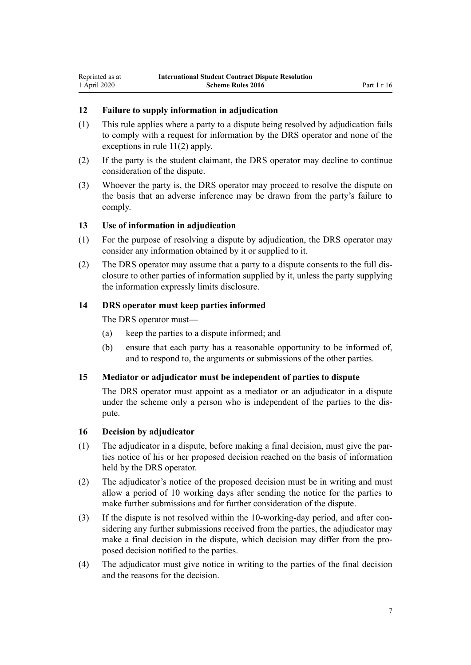## <span id="page-6-0"></span>**12 Failure to supply information in adjudication**

- (1) This rule applies where a party to a dispute being resolved by adjudication fails to comply with a request for information by the DRS operator and none of the exceptions in [rule 11\(2\)](#page-5-0) apply.
- (2) If the party is the student claimant, the DRS operator may decline to continue consideration of the dispute.
- (3) Whoever the party is, the DRS operator may proceed to resolve the dispute on the basis that an adverse inference may be drawn from the party's failure to comply.

#### **13 Use of information in adjudication**

- (1) For the purpose of resolving a dispute by adjudication, the DRS operator may consider any information obtained by it or supplied to it.
- (2) The DRS operator may assume that a party to a dispute consents to the full disclosure to other parties of information supplied by it, unless the party supplying the information expressly limits disclosure.

#### **14 DRS operator must keep parties informed**

The DRS operator must—

- (a) keep the parties to a dispute informed; and
- (b) ensure that each party has a reasonable opportunity to be informed of, and to respond to, the arguments or submissions of the other parties.

#### **15 Mediator or adjudicator must be independent of parties to dispute**

The DRS operator must appoint as a mediator or an adjudicator in a dispute under the scheme only a person who is independent of the parties to the dispute.

#### **16 Decision by adjudicator**

- (1) The adjudicator in a dispute, before making a final decision, must give the parties notice of his or her proposed decision reached on the basis of information held by the DRS operator.
- (2) The adjudicator's notice of the proposed decision must be in writing and must allow a period of 10 working days after sending the notice for the parties to make further submissions and for further consideration of the dispute.
- (3) If the dispute is not resolved within the 10-working-day period, and after considering any further submissions received from the parties, the adjudicator may make a final decision in the dispute, which decision may differ from the proposed decision notified to the parties.
- (4) The adjudicator must give notice in writing to the parties of the final decision and the reasons for the decision.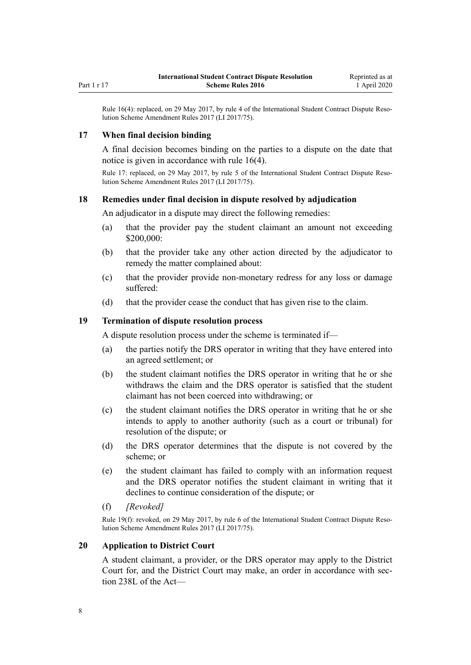<span id="page-7-0"></span>Rule 16(4): replaced, on 29 May 2017, by [rule 4](http://legislation.govt.nz/pdflink.aspx?id=DLM7210708) of the International Student Contract Dispute Resolution Scheme Amendment Rules 2017 (LI 2017/75).

#### **17 When final decision binding**

A final decision becomes binding on the parties to a dispute on the date that notice is given in accordance with [rule 16\(4\).](#page-6-0)

Rule 17: replaced, on 29 May 2017, by [rule 5](http://legislation.govt.nz/pdflink.aspx?id=DLM7210709) of the International Student Contract Dispute Resolution Scheme Amendment Rules 2017 (LI 2017/75).

#### **18 Remedies under final decision in dispute resolved by adjudication**

An adjudicator in a dispute may direct the following remedies:

- (a) that the provider pay the student claimant an amount not exceeding \$200,000:
- (b) that the provider take any other action directed by the adjudicator to remedy the matter complained about:
- (c) that the provider provide non-monetary redress for any loss or damage suffered:
- (d) that the provider cease the conduct that has given rise to the claim.

#### **19 Termination of dispute resolution process**

A dispute resolution process under the scheme is terminated if—

- (a) the parties notify the DRS operator in writing that they have entered into an agreed settlement; or
- (b) the student claimant notifies the DRS operator in writing that he or she withdraws the claim and the DRS operator is satisfied that the student claimant has not been coerced into withdrawing; or
- (c) the student claimant notifies the DRS operator in writing that he or she intends to apply to another authority (such as a court or tribunal) for resolution of the dispute; or
- (d) the DRS operator determines that the dispute is not covered by the scheme; or
- (e) the student claimant has failed to comply with an information request and the DRS operator notifies the student claimant in writing that it declines to continue consideration of the dispute; or
- (f) *[Revoked]*

Rule 19(f): revoked, on 29 May 2017, by [rule 6](http://legislation.govt.nz/pdflink.aspx?id=DLM7210711) of the International Student Contract Dispute Resolution Scheme Amendment Rules 2017 (LI 2017/75).

#### **20 Application to District Court**

A student claimant, a provider, or the DRS operator may apply to the District Court for, and the District Court may make, an order in accordance with [sec](http://legislation.govt.nz/pdflink.aspx?id=DLM6891018)[tion 238L](http://legislation.govt.nz/pdflink.aspx?id=DLM6891018) of the Act—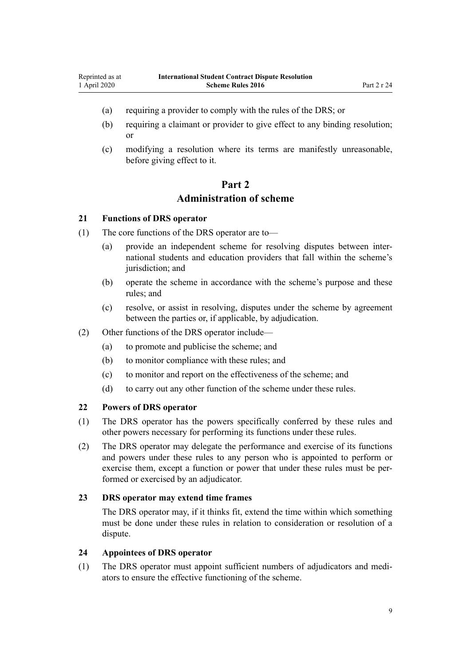- <span id="page-8-0"></span>(a) requiring a provider to comply with the rules of the DRS; or
- (b) requiring a claimant or provider to give effect to any binding resolution; or
- (c) modifying a resolution where its terms are manifestly unreasonable, before giving effect to it.

# **Part 2 Administration of scheme**

#### **21 Functions of DRS operator**

- (1) The core functions of the DRS operator are to—
	- (a) provide an independent scheme for resolving disputes between international students and education providers that fall within the scheme's jurisdiction; and
	- (b) operate the scheme in accordance with the scheme's purpose and these rules; and
	- (c) resolve, or assist in resolving, disputes under the scheme by agreement between the parties or, if applicable, by adjudication.
- (2) Other functions of the DRS operator include—
	- (a) to promote and publicise the scheme; and
	- (b) to monitor compliance with these rules; and
	- (c) to monitor and report on the effectiveness of the scheme; and
	- (d) to carry out any other function of the scheme under these rules.

#### **22 Powers of DRS operator**

- (1) The DRS operator has the powers specifically conferred by these rules and other powers necessary for performing its functions under these rules.
- (2) The DRS operator may delegate the performance and exercise of its functions and powers under these rules to any person who is appointed to perform or exercise them, except a function or power that under these rules must be performed or exercised by an adjudicator.

#### **23 DRS operator may extend time frames**

The DRS operator may, if it thinks fit, extend the time within which something must be done under these rules in relation to consideration or resolution of a dispute.

## **24 Appointees of DRS operator**

(1) The DRS operator must appoint sufficient numbers of adjudicators and mediators to ensure the effective functioning of the scheme.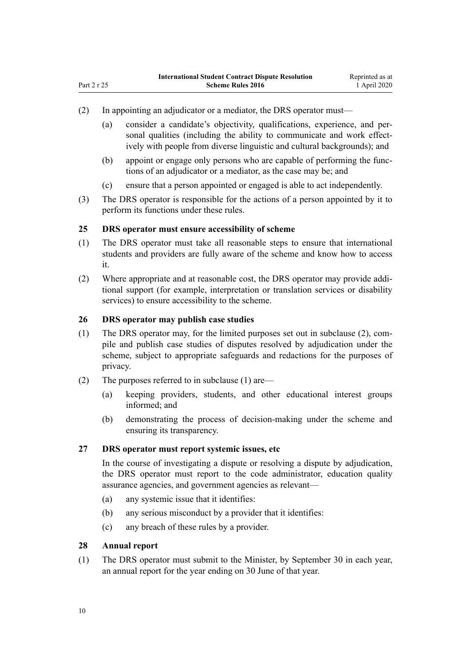- (2) In appointing an adjudicator or a mediator, the DRS operator must—
	- (a) consider a candidate's objectivity, qualifications, experience, and personal qualities (including the ability to communicate and work effectively with people from diverse linguistic and cultural backgrounds); and
	- (b) appoint or engage only persons who are capable of performing the functions of an adjudicator or a mediator, as the case may be; and
	- (c) ensure that a person appointed or engaged is able to act independently.
- (3) The DRS operator is responsible for the actions of a person appointed by it to perform its functions under these rules.

#### **25 DRS operator must ensure accessibility of scheme**

- (1) The DRS operator must take all reasonable steps to ensure that international students and providers are fully aware of the scheme and know how to access it.
- (2) Where appropriate and at reasonable cost, the DRS operator may provide additional support (for example, interpretation or translation services or disability services) to ensure accessibility to the scheme.

## **26 DRS operator may publish case studies**

- (1) The DRS operator may, for the limited purposes set out in subclause (2), compile and publish case studies of disputes resolved by adjudication under the scheme, subject to appropriate safeguards and redactions for the purposes of privacy.
- (2) The purposes referred to in subclause (1) are—
	- (a) keeping providers, students, and other educational interest groups informed; and
	- (b) demonstrating the process of decision-making under the scheme and ensuring its transparency.

#### **27 DRS operator must report systemic issues, etc**

In the course of investigating a dispute or resolving a dispute by adjudication, the DRS operator must report to the code administrator, education quality assurance agencies, and government agencies as relevant—

- (a) any systemic issue that it identifies:
- (b) any serious misconduct by a provider that it identifies:
- (c) any breach of these rules by a provider.

#### **28 Annual report**

(1) The DRS operator must submit to the Minister, by September 30 in each year, an annual report for the year ending on 30 June of that year.

<span id="page-9-0"></span>Part 2 r 25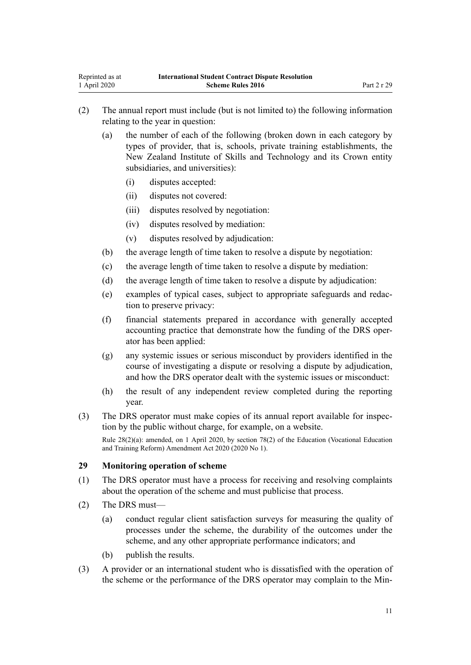- <span id="page-10-0"></span>(2) The annual report must include (but is not limited to) the following information relating to the year in question:
	- (a) the number of each of the following (broken down in each category by types of provider, that is, schools, private training establishments, the New Zealand Institute of Skills and Technology and its Crown entity subsidiaries, and universities):
		- (i) disputes accepted:
		- (ii) disputes not covered:
		- (iii) disputes resolved by negotiation:
		- (iv) disputes resolved by mediation:
		- (v) disputes resolved by adjudication:
	- (b) the average length of time taken to resolve a dispute by negotiation:
	- (c) the average length of time taken to resolve a dispute by mediation:
	- (d) the average length of time taken to resolve a dispute by adjudication:
	- (e) examples of typical cases, subject to appropriate safeguards and redaction to preserve privacy:
	- (f) financial statements prepared in accordance with generally accepted accounting practice that demonstrate how the funding of the DRS operator has been applied:
	- (g) any systemic issues or serious misconduct by providers identified in the course of investigating a dispute or resolving a dispute by adjudication, and how the DRS operator dealt with the systemic issues or misconduct:
	- (h) the result of any independent review completed during the reporting year.
- (3) The DRS operator must make copies of its annual report available for inspection by the public without charge, for example, on a website.

Rule 28(2)(a): amended, on 1 April 2020, by [section 78\(2\)](http://legislation.govt.nz/pdflink.aspx?id=LMS245981) of the Education (Vocational Education and Training Reform) Amendment Act 2020 (2020 No 1).

## **29 Monitoring operation of scheme**

- (1) The DRS operator must have a process for receiving and resolving complaints about the operation of the scheme and must publicise that process.
- (2) The DRS must—
	- (a) conduct regular client satisfaction surveys for measuring the quality of processes under the scheme, the durability of the outcomes under the scheme, and any other appropriate performance indicators; and
	- (b) publish the results.
- (3) A provider or an international student who is dissatisfied with the operation of the scheme or the performance of the DRS operator may complain to the Min-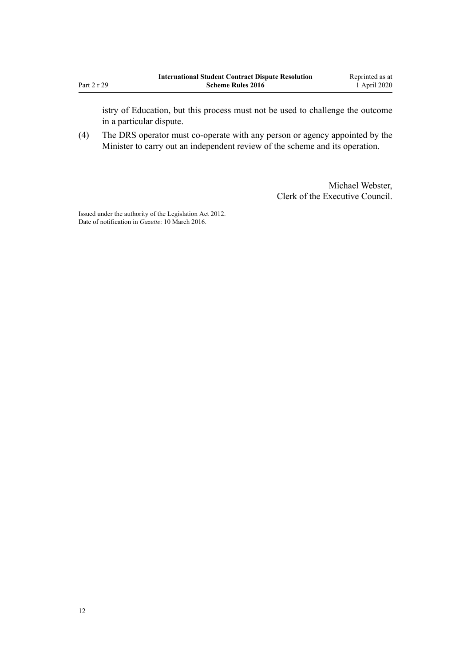istry of Education, but this process must not be used to challenge the outcome in a particular dispute.

(4) The DRS operator must co-operate with any person or agency appointed by the Minister to carry out an independent review of the scheme and its operation.

> Michael Webster, Clerk of the Executive Council.

Issued under the authority of the [Legislation Act 2012](http://legislation.govt.nz/pdflink.aspx?id=DLM2997643). Date of notification in *Gazette*: 10 March 2016.